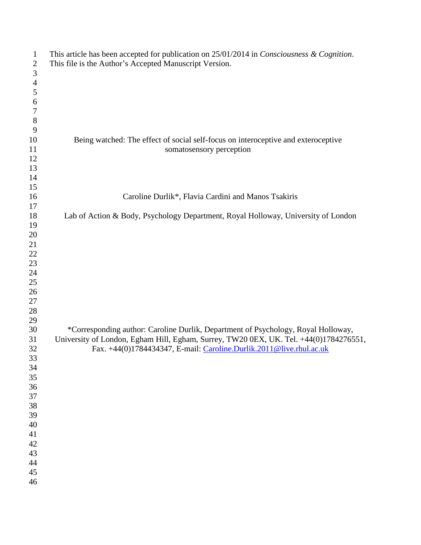| 1<br>$\overline{2}$ | This article has been accepted for publication on 25/01/2014 in Consciousness & Cognition.<br>This file is the Author's Accepted Manuscript Version. |  |  |  |  |
|---------------------|------------------------------------------------------------------------------------------------------------------------------------------------------|--|--|--|--|
| 3                   |                                                                                                                                                      |  |  |  |  |
| $\overline{4}$      |                                                                                                                                                      |  |  |  |  |
| 5                   |                                                                                                                                                      |  |  |  |  |
| 6                   |                                                                                                                                                      |  |  |  |  |
| $\tau$              |                                                                                                                                                      |  |  |  |  |
| $8\,$               |                                                                                                                                                      |  |  |  |  |
| 9                   |                                                                                                                                                      |  |  |  |  |
| 10                  | Being watched: The effect of social self-focus on interoceptive and exteroceptive                                                                    |  |  |  |  |
| 11                  | somatosensory perception                                                                                                                             |  |  |  |  |
| 12                  |                                                                                                                                                      |  |  |  |  |
| 13                  |                                                                                                                                                      |  |  |  |  |
| 14                  |                                                                                                                                                      |  |  |  |  |
| 15                  |                                                                                                                                                      |  |  |  |  |
| 16                  | Caroline Durlik*, Flavia Cardini and Manos Tsakiris                                                                                                  |  |  |  |  |
| 17                  |                                                                                                                                                      |  |  |  |  |
| 18                  | Lab of Action & Body, Psychology Department, Royal Holloway, University of London                                                                    |  |  |  |  |
| 19                  |                                                                                                                                                      |  |  |  |  |
| 20<br>21            |                                                                                                                                                      |  |  |  |  |
| 22                  |                                                                                                                                                      |  |  |  |  |
| 23                  |                                                                                                                                                      |  |  |  |  |
| 24                  |                                                                                                                                                      |  |  |  |  |
| 25                  |                                                                                                                                                      |  |  |  |  |
| 26                  |                                                                                                                                                      |  |  |  |  |
| 27                  |                                                                                                                                                      |  |  |  |  |
| 28                  |                                                                                                                                                      |  |  |  |  |
| 29                  |                                                                                                                                                      |  |  |  |  |
| 30                  | *Corresponding author: Caroline Durlik, Department of Psychology, Royal Holloway,                                                                    |  |  |  |  |
| 31                  | University of London, Egham Hill, Egham, Surrey, TW20 0EX, UK. Tel. +44(0)1784276551,                                                                |  |  |  |  |
| 32                  | Fax. +44(0)1784434347, E-mail: Caroline.Durlik.2011@live.rhul.ac.uk                                                                                  |  |  |  |  |
| 33                  |                                                                                                                                                      |  |  |  |  |
| 34                  |                                                                                                                                                      |  |  |  |  |
| 35                  |                                                                                                                                                      |  |  |  |  |
| 36                  |                                                                                                                                                      |  |  |  |  |
| 37                  |                                                                                                                                                      |  |  |  |  |
| 38                  |                                                                                                                                                      |  |  |  |  |
| 39                  |                                                                                                                                                      |  |  |  |  |
| 40                  |                                                                                                                                                      |  |  |  |  |
| 41                  |                                                                                                                                                      |  |  |  |  |
| 42                  |                                                                                                                                                      |  |  |  |  |
| 43                  |                                                                                                                                                      |  |  |  |  |
| 44                  |                                                                                                                                                      |  |  |  |  |
| 45                  |                                                                                                                                                      |  |  |  |  |
| 46                  |                                                                                                                                                      |  |  |  |  |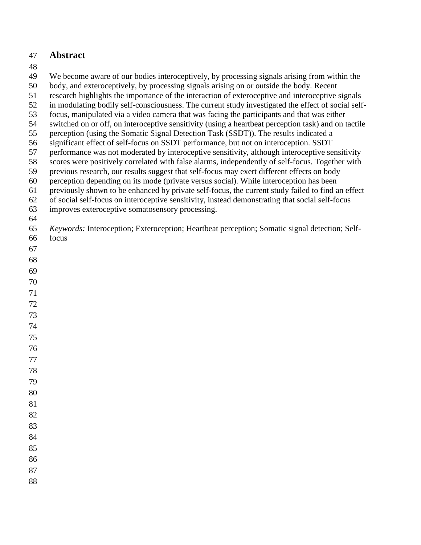### **Abstract**

### 

We become aware of our bodies interoceptively, by processing signals arising from within the

body, and exteroceptively, by processing signals arising on or outside the body. Recent

research highlights the importance of the interaction of exteroceptive and interoceptive signals

in modulating bodily self-consciousness. The current study investigated the effect of social self-

 focus, manipulated via a video camera that was facing the participants and that was either switched on or off, on interoceptive sensitivity (using a heartbeat perception task) and on tactile

perception (using the Somatic Signal Detection Task (SSDT)). The results indicated a

significant effect of self-focus on SSDT performance, but not on interoception. SSDT

performance was not moderated by interoceptive sensitivity, although interoceptive sensitivity

scores were positively correlated with false alarms, independently of self-focus. Together with

previous research, our results suggest that self-focus may exert different effects on body

perception depending on its mode (private versus social). While interoception has been

previously shown to be enhanced by private self-focus, the current study failed to find an effect

of social self-focus on interoceptive sensitivity, instead demonstrating that social self-focus

improves exteroceptive somatosensory processing.

 *Keywords:* Interoception; Exteroception; Heartbeat perception; Somatic signal detection; Self-focus

- 
- 
-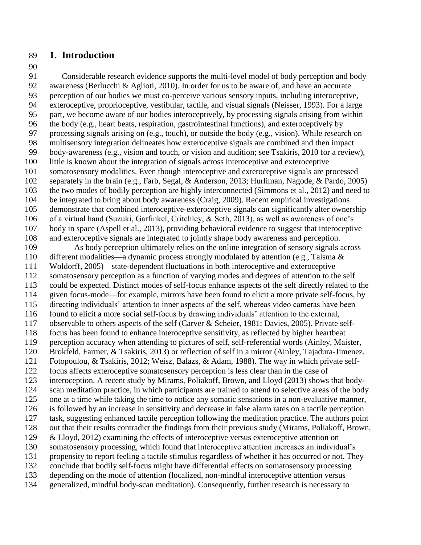### **1. Introduction**

 Considerable research evidence supports the multi-level model of body perception and body awareness (Berlucchi & Aglioti, 2010). In order for us to be aware of, and have an accurate perception of our bodies we must co-perceive various sensory inputs, including interoceptive, exteroceptive, proprioceptive, vestibular, tactile, and visual signals (Neisser, 1993). For a large part, we become aware of our bodies interoceptively, by processing signals arising from within the body (e.g., heart beats, respiration, gastrointestinal functions), and exteroceptively by processing signals arising on (e.g., touch), or outside the body (e.g., vision). While research on multisensory integration delineates how exteroceptive signals are combined and then impact body-awareness (e.g., vision and touch, or vision and audition; see Tsakiris, 2010 for a review), little is known about the integration of signals across interoceptive and exteroceptive somatosensory modalities. Even though interoceptive and exteroceptive signals are processed separately in the brain (e.g., Farb, Segal, & Anderson, 2013; Hurliman, Nagode, & Pardo, 2005) the two modes of bodily perception are highly interconnected (Simmons et al., 2012) and need to be integrated to bring about body awareness (Craig, 2009). Recent empirical investigations demonstrate that combined interoceptive-exteroceptive signals can significantly alter ownership of a virtual hand (Suzuki, Garfinkel, Critchley, & Seth, 2013), as well as awareness of one's body in space (Aspell et al., 2013), providing behavioral evidence to suggest that interoceptive and exteroceptive signals are integrated to jointly shape body awareness and perception. As body perception ultimately relies on the online integration of sensory signals across 110 different modalities—a dynamic process strongly modulated by attention (e.g., Talsma  $\&$  Woldorff, 2005)—state-dependent fluctuations in both interoceptive and exteroceptive somatosensory perception as a function of varying modes and degrees of attention to the self could be expected. Distinct modes of self-focus enhance aspects of the self directly related to the given focus-mode—for example, mirrors have been found to elicit a more private self-focus, by directing individuals' attention to inner aspects of the self, whereas video cameras have been found to elicit a more social self-focus by drawing individuals' attention to the external, observable to others aspects of the self (Carver & Scheier, 1981; Davies, 2005). Private self- focus has been found to enhance interoceptive sensitivity, as reflected by higher heartbeat perception accuracy when attending to pictures of self, self-referential words (Ainley, Maister, Brokfeld, Farmer, & Tsakiris, 2013) or reflection of self in a mirror (Ainley, Tajadura-Jimenez, Fotopoulou, & Tsakiris, 2012; Weisz, Balazs, & Adam, 1988). The way in which private self- focus affects exteroceptive somatosensory perception is less clear than in the case of interoception. A recent study by Mirams, Poliakoff, Brown, and Lloyd (2013) shows that body- scan meditation practice, in which participants are trained to attend to selective areas of the body one at a time while taking the time to notice any somatic sensations in a non-evaluative manner,

 is followed by an increase in sensitivity and decrease in false alarm rates on a tactile perception task, suggesting enhanced tactile perception following the meditation practice. The authors point

out that their results contradict the findings from their previous study (Mirams, Poliakoff, Brown,

129 & Lloyd, 2012) examining the effects of interoceptive versus exteroceptive attention on

somatosensory processing, which found that interoceptive attention increases an individual's

propensity to report feeling a tactile stimulus regardless of whether it has occurred or not. They

conclude that bodily self-focus might have differential effects on somatosensory processing

depending on the mode of attention (localized, non-mindful interoceptive attention versus

generalized, mindful body-scan meditation). Consequently, further research is necessary to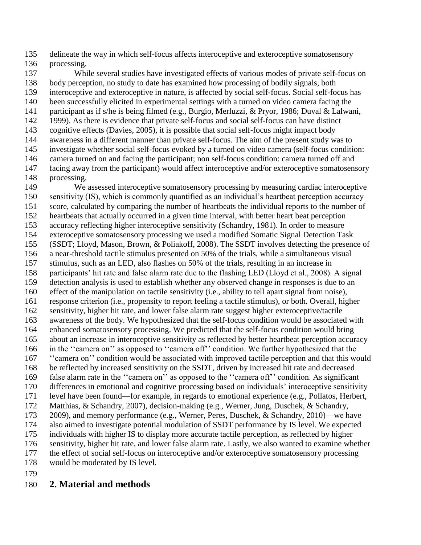delineate the way in which self-focus affects interoceptive and exteroceptive somatosensory processing.

 While several studies have investigated effects of various modes of private self-focus on body perception, no study to date has examined how processing of bodily signals, both interoceptive and exteroceptive in nature, is affected by social self-focus. Social self-focus has been successfully elicited in experimental settings with a turned on video camera facing the participant as if s/he is being filmed (e.g., Burgio, Merluzzi, & Pryor, 1986; Duval & Lalwani, 1999). As there is evidence that private self-focus and social self-focus can have distinct cognitive effects (Davies, 2005), it is possible that social self-focus might impact body awareness in a different manner than private self-focus. The aim of the present study was to investigate whether social self-focus evoked by a turned on video camera (self-focus condition: camera turned on and facing the participant; non self-focus condition: camera turned off and facing away from the participant) would affect interoceptive and/or exteroceptive somatosensory processing.

 We assessed interoceptive somatosensory processing by measuring cardiac interoceptive sensitivity (IS), which is commonly quantified as an individual's heartbeat perception accuracy score, calculated by comparing the number of heartbeats the individual reports to the number of heartbeats that actually occurred in a given time interval, with better heart beat perception accuracy reflecting higher interoceptive sensitivity (Schandry, 1981). In order to measure exteroceptive somatosensory processing we used a modified Somatic Signal Detection Task (SSDT; Lloyd, Mason, Brown, & Poliakoff, 2008). The SSDT involves detecting the presence of a near-threshold tactile stimulus presented on 50% of the trials, while a simultaneous visual stimulus, such as an LED, also flashes on 50% of the trials, resulting in an increase in participants' hit rate and false alarm rate due to the flashing LED (Lloyd et al., 2008). A signal detection analysis is used to establish whether any observed change in responses is due to an effect of the manipulation on tactile sensitivity (i.e., ability to tell apart signal from noise), response criterion (i.e., propensity to report feeling a tactile stimulus), or both. Overall, higher sensitivity, higher hit rate, and lower false alarm rate suggest higher exteroceptive/tactile awareness of the body. We hypothesized that the self-focus condition would be associated with enhanced somatosensory processing. We predicted that the self-focus condition would bring about an increase in interoceptive sensitivity as reflected by better heartbeat perception accuracy in the ''camera on'' as opposed to ''camera off'' condition. We further hypothesized that the ''camera on'' condition would be associated with improved tactile perception and that this would be reflected by increased sensitivity on the SSDT, driven by increased hit rate and decreased false alarm rate in the ''camera on'' as opposed to the ''camera off'' condition. As significant differences in emotional and cognitive processing based on individuals' interoceptive sensitivity level have been found—for example, in regards to emotional experience (e.g., Pollatos, Herbert, Matthias, & Schandry, 2007), decision-making (e.g., Werner, Jung, Duschek, & Schandry, 2009), and memory performance (e.g., Werner, Peres, Duschek, & Schandry, 2010)—we have also aimed to investigate potential modulation of SSDT performance by IS level. We expected individuals with higher IS to display more accurate tactile perception, as reflected by higher sensitivity, higher hit rate, and lower false alarm rate. Lastly, we also wanted to examine whether the effect of social self-focus on interoceptive and/or exteroceptive somatosensory processing would be moderated by IS level.

## **2. Material and methods**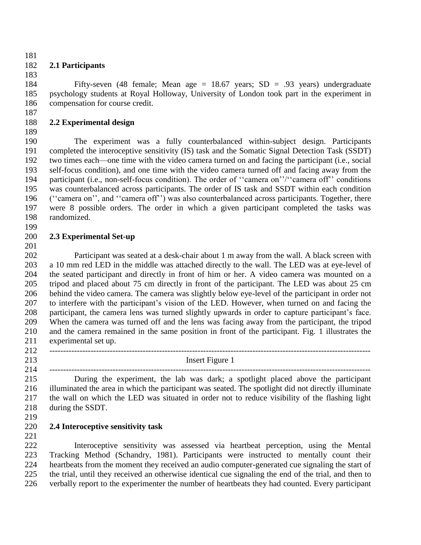### **2.1 Participants**

 Fifty-seven (48 female; Mean age = 18.67 years; SD = .93 years) undergraduate psychology students at Royal Holloway, University of London took part in the experiment in compensation for course credit.

## **2.2 Experimental design**

 The experiment was a fully counterbalanced within-subject design. Participants completed the interoceptive sensitivity (IS) task and the Somatic Signal Detection Task (SSDT) two times each—one time with the video camera turned on and facing the participant (i.e., social self-focus condition), and one time with the video camera turned off and facing away from the participant (i.e., non-self-focus condition). The order of ''camera on''/''camera off'' conditions was counterbalanced across participants. The order of IS task and SSDT within each condition (''camera on'', and ''camera off'') was also counterbalanced across participants. Together, there were 8 possible orders. The order in which a given participant completed the tasks was randomized.

## **2.3 Experimental Set-up**

 Participant was seated at a desk-chair about 1 m away from the wall. A black screen with a 10 mm red LED in the middle was attached directly to the wall. The LED was at eye-level of the seated participant and directly in front of him or her. A video camera was mounted on a tripod and placed about 75 cm directly in front of the participant. The LED was about 25 cm behind the video camera. The camera was slightly below eye-level of the participant in order not to interfere with the participant's vision of the LED. However, when turned on and facing the participant, the camera lens was turned slightly upwards in order to capture participant's face. When the camera was turned off and the lens was facing away from the participant, the tripod and the camera remained in the same position in front of the participant. Fig. 1 illustrates the experimental set up. ---------------------------------------------------------------------------------------------------------------------

- Insert Figure 1 --------------------------------------------------------------------------------------------------------------------- During the experiment, the lab was dark; a spotlight placed above the participant illuminated the area in which the participant was seated. The spotlight did not directly illuminate the wall on which the LED was situated in order not to reduce visibility of the flashing light
- during the SSDT.
- 

### **2.4 Interoceptive sensitivity task**

 Interoceptive sensitivity was assessed via heartbeat perception, using the Mental Tracking Method (Schandry, 1981). Participants were instructed to mentally count their heartbeats from the moment they received an audio computer-generated cue signaling the start of the trial, until they received an otherwise identical cue signaling the end of the trial, and then to verbally report to the experimenter the number of heartbeats they had counted. Every participant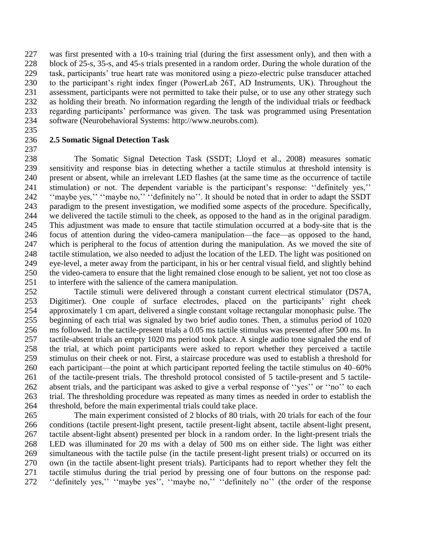was first presented with a 10-s training trial (during the first assessment only), and then with a block of 25-s, 35-s, and 45-s trials presented in a random order. During the whole duration of the task, participants' true heart rate was monitored using a piezo-electric pulse transducer attached to the participant's right index finger (PowerLab 26T, AD Instruments, UK). Throughout the assessment, participants were not permitted to take their pulse, or to use any other strategy such as holding their breath. No information regarding the length of the individual trials or feedback regarding participants' performance was given. The task was programmed using Presentation software (Neurobehavioral Systems: http://www.neurobs.com).

**2.5 Somatic Signal Detection Task** 

 The Somatic Signal Detection Task (SSDT; Lloyd et al., 2008) measures somatic sensitivity and response bias in detecting whether a tactile stimulus at threshold intensity is present or absent, while an irrelevant LED flashes (at the same time as the occurrence of tactile stimulation) or not. The dependent variable is the participant's response: ''definitely yes,'' ''maybe yes,'' ''maybe no,'' ''definitely no''. It should be noted that in order to adapt the SSDT paradigm to the present investigation, we modified some aspects of the procedure. Specifically, we delivered the tactile stimuli to the cheek, as opposed to the hand as in the original paradigm. This adjustment was made to ensure that tactile stimulation occurred at a body-site that is the focus of attention during the video-camera manipulation—the face—as opposed to the hand, which is peripheral to the focus of attention during the manipulation. As we moved the site of tactile stimulation, we also needed to adjust the location of the LED. The light was positioned on eye-level, a meter away from the participant, in his or her central visual field, and slightly behind the video-camera to ensure that the light remained close enough to be salient, yet not too close as to interfere with the salience of the camera manipulation.

 Tactile stimuli were delivered through a constant current electrical stimulator (DS7A, Digitimer). One couple of surface electrodes, placed on the participants' right cheek approximately 1 cm apart, delivered a single constant voltage rectangular monophasic pulse. The beginning of each trial was signaled by two brief audio tones. Then, a stimulus period of 1020 ms followed. In the tactile-present trials a 0.05 ms tactile stimulus was presented after 500 ms. In tactile-absent trials an empty 1020 ms period took place. A single audio tone signaled the end of the trial, at which point participants were asked to report whether they perceived a tactile stimulus on their cheek or not. First, a staircase procedure was used to establish a threshold for each participant—the point at which participant reported feeling the tactile stimulus on 40–60% of the tactile-present trials. The threshold protocol consisted of 5 tactile-present and 5 tactile- absent trials, and the participant was asked to give a verbal response of ''yes'' or ''no'' to each trial. The thresholding procedure was repeated as many times as needed in order to establish the threshold, before the main experimental trials could take place.

 The main experiment consisted of 2 blocks of 80 trials, with 20 trials for each of the four conditions (tactile present-light present, tactile present-light absent, tactile absent-light present, tactile absent-light absent) presented per block in a random order. In the light-present trials the LED was illuminated for 20 ms with a delay of 500 ms on either side. The light was either simultaneous with the tactile pulse (in the tactile present-light present trials) or occurred on its own (in the tactile absent-light present trials). Participants had to report whether they felt the tactile stimulus during the trial period by pressing one of four buttons on the response pad: ''definitely yes,'' ''maybe yes'', ''maybe no,'' ''definitely no'' (the order of the response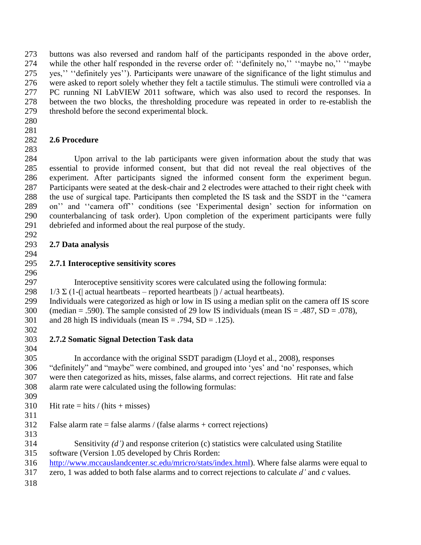buttons was also reversed and random half of the participants responded in the above order, while the other half responded in the reverse order of: ''definitely no,'' ''maybe no,'' ''maybe yes,'' ''definitely yes''). Participants were unaware of the significance of the light stimulus and were asked to report solely whether they felt a tactile stimulus. The stimuli were controlled via a PC running NI LabVIEW 2011 software, which was also used to record the responses. In between the two blocks, the thresholding procedure was repeated in order to re-establish the threshold before the second experimental block.

 

## **2.6 Procedure**

 Upon arrival to the lab participants were given information about the study that was essential to provide informed consent, but that did not reveal the real objectives of the experiment. After participants signed the informed consent form the experiment begun. Participants were seated at the desk-chair and 2 electrodes were attached to their right cheek with the use of surgical tape. Participants then completed the IS task and the SSDT in the ''camera on'' and ''camera off'' conditions (see 'Experimental design' section for information on counterbalancing of task order). Upon completion of the experiment participants were fully debriefed and informed about the real purpose of the study.

- **2.7 Data analysis**
- 

#### **2.7.1 Interoceptive sensitivity scores**

Interoceptive sensitivity scores were calculated using the following formula:

298 1/3  $\Sigma$  (1-(| actual heartbeats – reported heartbeats |) / actual heartbeats).

 Individuals were categorized as high or low in IS using a median split on the camera off IS score 300 (median = .590). The sample consisted of 29 low IS individuals (mean IS = .487, SD = .078), 301 and 28 high IS individuals (mean IS = .794, SD = .125).

#### **2.7.2 Somatic Signal Detection Task data**

 In accordance with the original SSDT paradigm (Lloyd et al., 2008), responses "definitely" and "maybe" were combined, and grouped into 'yes' and 'no' responses, which were then categorized as hits, misses, false alarms, and correct rejections. Hit rate and false alarm rate were calculated using the following formulas:

310 Hit rate = hits / (hits + misses)

False alarm rate = false alarms / (false alarms + correct rejections)

 Sensitivity *(d')* and response criterion (c) statistics were calculated using Statilite software (Version 1.05 developed by Chris Rorden:

- [http://www.mccauslandcenter.sc.edu/mricro/stats/index.html\)](http://www.mccauslandcenter.sc.edu/mricro/stats/index.html). Where false alarms were equal to
- zero, 1 was added to both false alarms and to correct rejections to calculate *d'* and *c* values.
-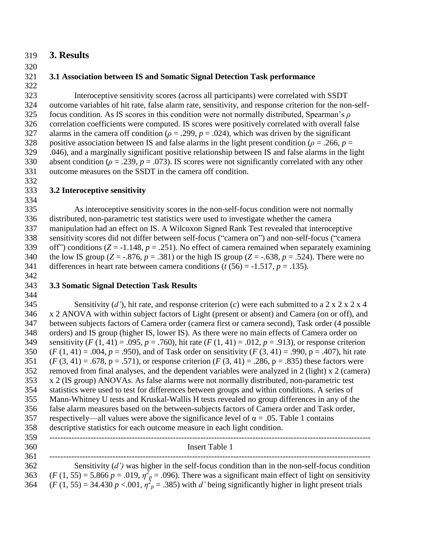### **3. Results**

### **3.1 Association between IS and Somatic Signal Detection Task performance**

 Interoceptive sensitivity scores (across all participants) were correlated with SSDT outcome variables of hit rate, false alarm rate, sensitivity, and response criterion for the non-self- focus condition. As IS scores in this condition were not normally distributed, Spearman's *ρ* correlation coefficients were computed. IS scores were positively correlated with overall false 327 alarms in the camera off condition ( $\rho = .299$ ,  $p = .024$ ), which was driven by the significant 328 positive association between IS and false alarms in the light present condition ( $\rho = .266$ ,  $p =$  .046), and a marginally significant positive relationship between IS and false alarms in the light 330 absent condition ( $\rho = .239$ ,  $p = .073$ ). IS scores were not significantly correlated with any other outcome measures on the SSDT in the camera off condition.

#### **3.2 Interoceptive sensitivity**

 As interoceptive sensitivity scores in the non-self-focus condition were not normally distributed, non-parametric test statistics were used to investigate whether the camera manipulation had an effect on IS. A Wilcoxon Signed Rank Test revealed that interoceptive sensitivity scores did not differ between self-focus ("camera on") and non-self-focus ("camera 339 off") conditions  $(Z = -1.148, p = .251)$ . No effect of camera remained when separately examining 340 the low IS group ( $Z = -.876$ ,  $p = .381$ ) or the high IS group ( $Z = -.638$ ,  $p = .524$ ). There were no 341 differences in heart rate between camera conditions  $(t (56) = -1.517, p = .135)$ .

#### **3.3 Somatic Signal Detection Task Results**

 Sensitivity (*d'*), hit rate, and response criterion (*c*) were each submitted to a 2 x 2 x 2 x 4 x 2 ANOVA with within subject factors of Light (present or absent) and Camera (on or off), and between subjects factors of Camera order (camera first or camera second), Task order (4 possible orders) and IS group (higher IS, lower IS). As there were no main effects of Camera order on sensitivity (*F* (1, 41) = .095, *p* = .760), hit rate (*F* (1, 41) = .012, *p* = .913), or response criterion (*F* (1, 41) = .004, *p* = .950), and of Task order on sensitivity (*F* (3, 41) = .990, p = .407), hit rate 351 (*F* (3, 41) = .678, p = .571), or response criterion (*F* (3, 41) = .286, p = .835) these factors were removed from final analyses, and the dependent variables were analyzed in 2 (light) x 2 (camera) x 2 (IS group) ANOVAs. As false alarms were not normally distributed, non-parametric test statistics were used to test for differences between groups and within conditions. A series of Mann-Whitney U tests and Kruskal-Wallis H tests revealed no group differences in any of the false alarm measures based on the between-subjects factors of Camera order and Task order, 357 respectively—all values were above the significance level of  $\alpha = .05$ . Table 1 contains descriptive statistics for each outcome measure in each light condition. --------------------------------------------------------------------------------------------------------------------- Insert Table 1

 --------------------------------------------------------------------------------------------------------------------- Sensitivity (*d')* was higher in the self-focus condition than in the non-self-focus condition 363 *(F (1, 55)* = 5.866  $p = .019$ ,  $\eta^2 p = .096$ ). There was a significant main effect of light on sensitivity

364 *(F (1, 55)* = 34.430 *p* <.001,  $\eta^2$ <sub>*p*</sub> = .385) with *d'* being significantly higher in light present trials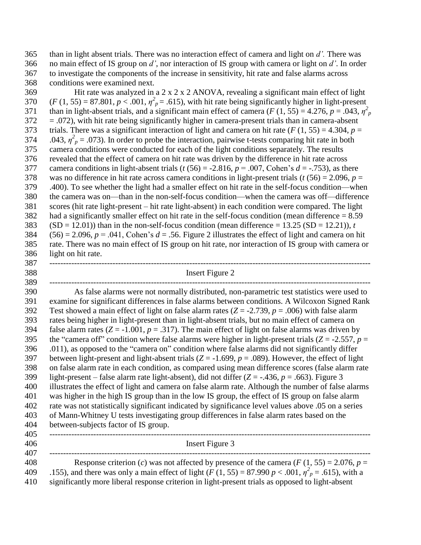than in light absent trials. There was no interaction effect of camera and light on *d'.* There was 366 no main effect of IS group on *d'*, nor interaction of IS group with camera or light on *d'*. In order to investigate the components of the increase in sensitivity, hit rate and false alarms across to investigate the components of the increase in sensitivity, hit rate and false alarms across conditions were examined next.

| 369               | Hit rate was analyzed in a 2 x 2 x 2 ANOVA, revealing a significant main effect of light                      |  |  |  |  |  |
|-------------------|---------------------------------------------------------------------------------------------------------------|--|--|--|--|--|
| 370               | $(F (1, 55) = 87.801, p < .001, \eta^2_p = .615)$ , with hit rate being significantly higher in light-present |  |  |  |  |  |
| 371               | than in light-absent trials, and a significant main effect of camera (F (1, 55) = 4.276, p = .043, $\eta_p^2$ |  |  |  |  |  |
| 372               | $=$ .072), with hit rate being significantly higher in camera-present trials than in camera-absent            |  |  |  |  |  |
| 373               | trials. There was a significant interaction of light and camera on hit rate ( $F(1, 55) = 4.304$ , $p =$      |  |  |  |  |  |
| 374               | .043, $\eta_p^2$ = .073). In order to probe the interaction, pairwise t-tests comparing hit rate in both      |  |  |  |  |  |
| 375               | camera conditions were conducted for each of the light conditions separately. The results                     |  |  |  |  |  |
| 376               | revealed that the effect of camera on hit rate was driven by the difference in hit rate across                |  |  |  |  |  |
| 377               | camera conditions in light-absent trials ( $t(56) = -2.816$ , $p = .007$ , Cohen's $d = -.753$ ), as there    |  |  |  |  |  |
| 378               | was no difference in hit rate across camera conditions in light-present trials ( $t(56) = 2.096$ , $p =$      |  |  |  |  |  |
| 379               | .400). To see whether the light had a smaller effect on hit rate in the self-focus condition—when             |  |  |  |  |  |
| 380               | the camera was on—than in the non-self-focus condition—when the camera was off—difference                     |  |  |  |  |  |
| 381               | scores (hit rate light-present – hit rate light-absent) in each condition were compared. The light            |  |  |  |  |  |
| 382               | had a significantly smaller effect on hit rate in the self-focus condition (mean difference $= 8.59$          |  |  |  |  |  |
| 383               | $(SD = 12.01)$ ) than in the non-self-focus condition (mean difference = 13.25 (SD = 12.21)), t               |  |  |  |  |  |
| 384               | $(56) = 2.096$ , $p = .041$ , Cohen's $d = .56$ . Figure 2 illustrates the effect of light and camera on hit  |  |  |  |  |  |
| 385               | rate. There was no main effect of IS group on hit rate, nor interaction of IS group with camera or            |  |  |  |  |  |
| 386               | light on hit rate.                                                                                            |  |  |  |  |  |
| 387               |                                                                                                               |  |  |  |  |  |
| 388               | Insert Figure 2                                                                                               |  |  |  |  |  |
| 389               |                                                                                                               |  |  |  |  |  |
| 390               | As false alarms were not normally distributed, non-parametric test statistics were used to                    |  |  |  |  |  |
|                   |                                                                                                               |  |  |  |  |  |
| 391               | examine for significant differences in false alarms between conditions. A Wilcoxon Signed Rank                |  |  |  |  |  |
| 392               | Test showed a main effect of light on false alarm rates ( $Z = -2.739$ , $p = .006$ ) with false alarm        |  |  |  |  |  |
| 393               | rates being higher in light-present than in light-absent trials, but no main effect of camera on              |  |  |  |  |  |
| 394               | false alarm rates ( $Z = -1.001$ , $p = .317$ ). The main effect of light on false alarms was driven by       |  |  |  |  |  |
| 395               | the "camera off" condition where false alarms were higher in light-present trials ( $Z = -2.557$ , $p =$      |  |  |  |  |  |
| 396               | .011), as opposed to the "camera on" condition where false alarms did not significantly differ                |  |  |  |  |  |
| 397               | between light-present and light-absent trials ( $Z = -1.699$ , $p = .089$ ). However, the effect of light     |  |  |  |  |  |
| 398               | on false alarm rate in each condition, as compared using mean difference scores (false alarm rate             |  |  |  |  |  |
| 399               | light-present – false alarm rate light-absent), did not differ ( $Z = -.436$ , $p = .663$ ). Figure 3         |  |  |  |  |  |
| 400               | illustrates the effect of light and camera on false alarm rate. Although the number of false alarms           |  |  |  |  |  |
| 401               | was higher in the high IS group than in the low IS group, the effect of IS group on false alarm               |  |  |  |  |  |
| 402               | rate was not statistically significant indicated by significance level values above .05 on a series           |  |  |  |  |  |
| 403               | of Mann-Whitney U tests investigating group differences in false alarm rates based on the                     |  |  |  |  |  |
| 404               | between-subjects factor of IS group.                                                                          |  |  |  |  |  |
| 405<br>406<br>407 | Insert Figure 3                                                                                               |  |  |  |  |  |

significantly more liberal response criterion in light-present trials as opposed to light-absent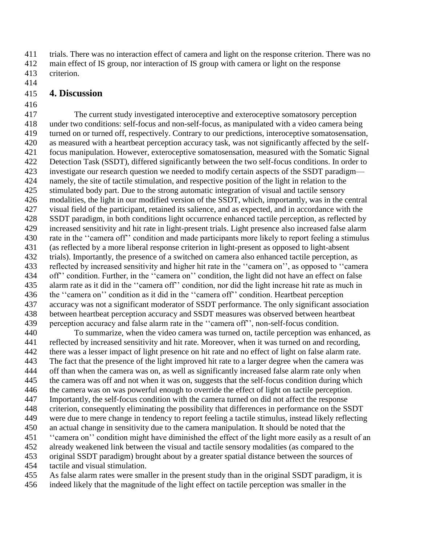trials. There was no interaction effect of camera and light on the response criterion. There was no main effect of IS group, nor interaction of IS group with camera or light on the response criterion.

### **4. Discussion**

 The current study investigated interoceptive and exteroceptive somatosory perception under two conditions: self-focus and non-self-focus, as manipulated with a video camera being turned on or turned off, respectively. Contrary to our predictions, interoceptive somatosensation, as measured with a heartbeat perception accuracy task, was not significantly affected by the self- focus manipulation. However, exteroceptive somatosensation, measured with the Somatic Signal Detection Task (SSDT), differed significantly between the two self-focus conditions. In order to investigate our research question we needed to modify certain aspects of the SSDT paradigm— namely, the site of tactile stimulation, and respective position of the light in relation to the stimulated body part. Due to the strong automatic integration of visual and tactile sensory modalities, the light in our modified version of the SSDT, which, importantly, was in the central visual field of the participant, retained its salience, and as expected, and in accordance with the SSDT paradigm, in both conditions light occurrence enhanced tactile perception, as reflected by increased sensitivity and hit rate in light-present trials. Light presence also increased false alarm rate in the ''camera off'' condition and made participants more likely to report feeling a stimulus (as reflected by a more liberal response criterion in light-present as opposed to light-absent trials). Importantly, the presence of a switched on camera also enhanced tactile perception, as reflected by increased sensitivity and higher hit rate in the ''camera on'', as opposed to ''camera off'' condition. Further, in the ''camera on'' condition, the light did not have an effect on false alarm rate as it did in the ''camera off'' condition, nor did the light increase hit rate as much in the ''camera on'' condition as it did in the ''camera off'' condition. Heartbeat perception accuracy was not a significant moderator of SSDT performance. The only significant association between heartbeat perception accuracy and SSDT measures was observed between heartbeat perception accuracy and false alarm rate in the ''camera off'', non-self-focus condition.

 To summarize, when the video camera was turned on, tactile perception was enhanced, as reflected by increased sensitivity and hit rate. Moreover, when it was turned on and recording, there was a lesser impact of light presence on hit rate and no effect of light on false alarm rate. The fact that the presence of the light improved hit rate to a larger degree when the camera was off than when the camera was on, as well as significantly increased false alarm rate only when the camera was off and not when it was on, suggests that the self-focus condition during which the camera was on was powerful enough to override the effect of light on tactile perception. Importantly, the self-focus condition with the camera turned on did not affect the response criterion, consequently eliminating the possibility that differences in performance on the SSDT were due to mere change in tendency to report feeling a tactile stimulus, instead likely reflecting an actual change in sensitivity due to the camera manipulation. It should be noted that the ''camera on'' condition might have diminished the effect of the light more easily as a result of an already weakened link between the visual and tactile sensory modalities (as compared to the original SSDT paradigm) brought about by a greater spatial distance between the sources of tactile and visual stimulation. As false alarm rates were smaller in the present study than in the original SSDT paradigm, it is

indeed likely that the magnitude of the light effect on tactile perception was smaller in the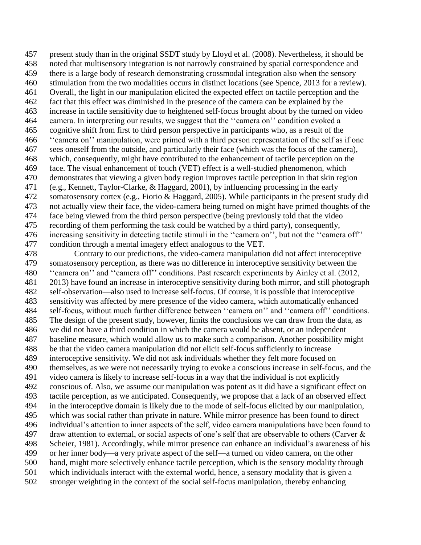present study than in the original SSDT study by Lloyd et al. (2008). Nevertheless, it should be noted that multisensory integration is not narrowly constrained by spatial correspondence and there is a large body of research demonstrating crossmodal integration also when the sensory stimulation from the two modalities occurs in distinct locations (see Spence, 2013 for a review). Overall, the light in our manipulation elicited the expected effect on tactile perception and the fact that this effect was diminished in the presence of the camera can be explained by the increase in tactile sensitivity due to heightened self-focus brought about by the turned on video camera. In interpreting our results, we suggest that the ''camera on'' condition evoked a cognitive shift from first to third person perspective in participants who, as a result of the ''camera on'' manipulation, were primed with a third person representation of the self as if one sees oneself from the outside, and particularly their face (which was the focus of the camera), which, consequently, might have contributed to the enhancement of tactile perception on the face. The visual enhancement of touch (VET) effect is a well-studied phenomenon, which demonstrates that viewing a given body region improves tactile perception in that skin region (e.g., Kennett, Taylor-Clarke, & Haggard, 2001), by influencing processing in the early somatosensory cortex (e.g., Fiorio & Haggard, 2005). While participants in the present study did not actually view their face, the video-camera being turned on might have primed thoughts of the face being viewed from the third person perspective (being previously told that the video recording of them performing the task could be watched by a third party), consequently, increasing sensitivity in detecting tactile stimuli in the ''camera on'', but not the ''camera off'' condition through a mental imagery effect analogous to the VET.

 Contrary to our predictions, the video-camera manipulation did not affect interoceptive somatosensory perception, as there was no difference in interoceptive sensitivity between the ''camera on'' and ''camera off'' conditions. Past research experiments by Ainley et al. (2012, 2013) have found an increase in interoceptive sensitivity during both mirror, and still photograph self-observation—also used to increase self-focus. Of course, it is possible that interoceptive sensitivity was affected by mere presence of the video camera, which automatically enhanced self-focus, without much further difference between ''camera on'' and ''camera off'' conditions. The design of the present study, however, limits the conclusions we can draw from the data, as we did not have a third condition in which the camera would be absent, or an independent baseline measure, which would allow us to make such a comparison. Another possibility might be that the video camera manipulation did not elicit self-focus sufficiently to increase interoceptive sensitivity. We did not ask individuals whether they felt more focused on themselves, as we were not necessarily trying to evoke a conscious increase in self-focus, and the video camera is likely to increase self-focus in a way that the individual is not explicitly conscious of. Also, we assume our manipulation was potent as it did have a significant effect on tactile perception, as we anticipated. Consequently, we propose that a lack of an observed effect in the interoceptive domain is likely due to the mode of self-focus elicited by our manipulation, which was social rather than private in nature. While mirror presence has been found to direct individual's attention to inner aspects of the self, video camera manipulations have been found to 497 draw attention to external, or social aspects of one's self that are observable to others (Carver  $\&$  Scheier, 1981). Accordingly, while mirror presence can enhance an individual's awareness of his or her inner body—a very private aspect of the self—a turned on video camera, on the other hand, might more selectively enhance tactile perception, which is the sensory modality through which individuals interact with the external world, hence, a sensory modality that is given a stronger weighting in the context of the social self-focus manipulation, thereby enhancing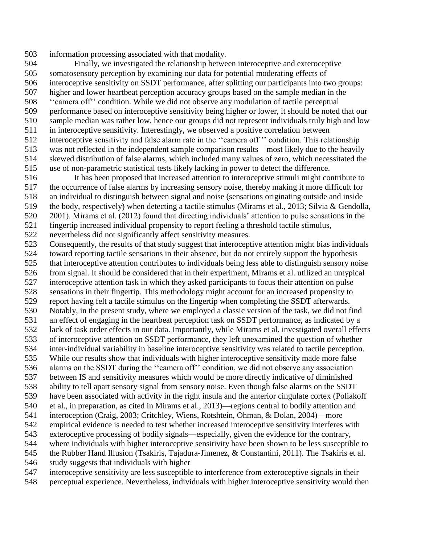information processing associated with that modality.

 Finally, we investigated the relationship between interoceptive and exteroceptive somatosensory perception by examining our data for potential moderating effects of interoceptive sensitivity on SSDT performance, after splitting our participants into two groups: higher and lower heartbeat perception accuracy groups based on the sample median in the ''camera off'' condition. While we did not observe any modulation of tactile perceptual performance based on interoceptive sensitivity being higher or lower, it should be noted that our sample median was rather low, hence our groups did not represent individuals truly high and low in interoceptive sensitivity. Interestingly, we observed a positive correlation between interoceptive sensitivity and false alarm rate in the ''camera off '' condition. This relationship was not reflected in the independent sample comparison results—most likely due to the heavily skewed distribution of false alarms, which included many values of zero, which necessitated the use of non-parametric statistical tests likely lacking in power to detect the difference.

 It has been proposed that increased attention to interoceptive stimuli might contribute to the occurrence of false alarms by increasing sensory noise, thereby making it more difficult for an individual to distinguish between signal and noise (sensations originating outside and inside the body, respectively) when detecting a tactile stimulus (Mirams et al., 2013; Silvia & Gendolla, 2001). Mirams et al. (2012) found that directing individuals' attention to pulse sensations in the

fingertip increased individual propensity to report feeling a threshold tactile stimulus,

nevertheless did not significantly affect sensitivity measures.

- Consequently, the results of that study suggest that interoceptive attention might bias individuals toward reporting tactile sensations in their absence, but do not entirely support the hypothesis that interoceptive attention contributes to individuals being less able to distinguish sensory noise from signal. It should be considered that in their experiment, Mirams et al. utilized an untypical interoceptive attention task in which they asked participants to focus their attention on pulse sensations in their fingertip. This methodology might account for an increased propensity to report having felt a tactile stimulus on the fingertip when completing the SSDT afterwards. Notably, in the present study, where we employed a classic version of the task, we did not find an effect of engaging in the heartbeat perception task on SSDT performance, as indicated by a lack of task order effects in our data. Importantly, while Mirams et al. investigated overall effects of interoceptive attention on SSDT performance, they left unexamined the question of whether inter-individual variability in baseline interoceptive sensitivity was related to tactile perception. While our results show that individuals with higher interoceptive sensitivity made more false alarms on the SSDT during the ''camera off'' condition, we did not observe any association between IS and sensitivity measures which would be more directly indicative of diminished ability to tell apart sensory signal from sensory noise. Even though false alarms on the SSDT have been associated with activity in the right insula and the anterior cingulate cortex (Poliakoff et al., in preparation, as cited in Mirams et al., 2013)—regions central to bodily attention and interoception (Craig, 2003; Critchley, Wiens, Rotshtein, Ohman, & Dolan, 2004)—more empirical evidence is needed to test whether increased interoceptive sensitivity interferes with exteroceptive processing of bodily signals—especially, given the evidence for the contrary, where individuals with higher interoceptive sensitivity have been shown to be less susceptible to the Rubber Hand Illusion (Tsakiris, Tajadura-Jimenez, & Constantini, 2011). The Tsakiris et al. study suggests that individuals with higher interoceptive sensitivity are less susceptible to interference from exteroceptive signals in their
- perceptual experience. Nevertheless, individuals with higher interoceptive sensitivity would then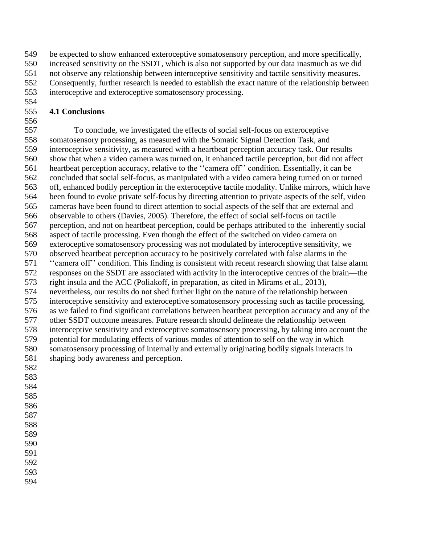- be expected to show enhanced exteroceptive somatosensory perception, and more specifically,
- increased sensitivity on the SSDT, which is also not supported by our data inasmuch as we did
- not observe any relationship between interoceptive sensitivity and tactile sensitivity measures.
- Consequently, further research is needed to establish the exact nature of the relationship between
- interoceptive and exteroceptive somatosensory processing.
- 

## **4.1 Conclusions**

 To conclude, we investigated the effects of social self-focus on exteroceptive somatosensory processing, as measured with the Somatic Signal Detection Task, and interoceptive sensitivity, as measured with a heartbeat perception accuracy task. Our results show that when a video camera was turned on, it enhanced tactile perception, but did not affect heartbeat perception accuracy, relative to the ''camera off'' condition. Essentially, it can be concluded that social self-focus, as manipulated with a video camera being turned on or turned off, enhanced bodily perception in the exteroceptive tactile modality. Unlike mirrors, which have been found to evoke private self-focus by directing attention to private aspects of the self, video cameras have been found to direct attention to social aspects of the self that are external and observable to others (Davies, 2005). Therefore, the effect of social self-focus on tactile perception, and not on heartbeat perception, could be perhaps attributed to the inherently social aspect of tactile processing. Even though the effect of the switched on video camera on exteroceptive somatosensory processing was not modulated by interoceptive sensitivity, we observed heartbeat perception accuracy to be positively correlated with false alarms in the ''camera off'' condition. This finding is consistent with recent research showing that false alarm responses on the SSDT are associated with activity in the interoceptive centres of the brain—the right insula and the ACC (Poliakoff, in preparation, as cited in Mirams et al., 2013), nevertheless, our results do not shed further light on the nature of the relationship between interoceptive sensitivity and exteroceptive somatosensory processing such as tactile processing, as we failed to find significant correlations between heartbeat perception accuracy and any of the other SSDT outcome measures. Future research should delineate the relationship between interoceptive sensitivity and exteroceptive somatosensory processing, by taking into account the potential for modulating effects of various modes of attention to self on the way in which somatosensory processing of internally and externally originating bodily signals interacts in shaping body awareness and perception. 

- 
- 
- 
- 
- 
- 
- 
- 
-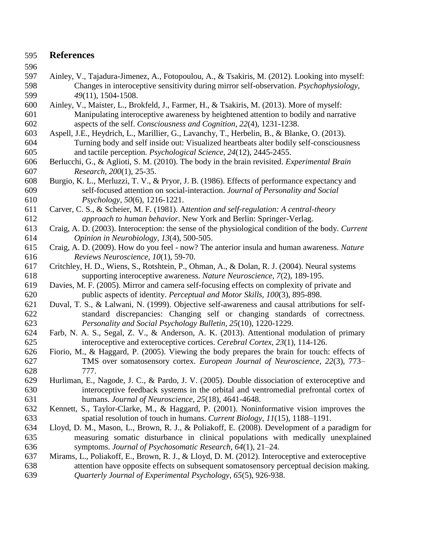#### **References**

- 
- Ainley, V., Tajadura-Jimenez, A., Fotopoulou, A., & Tsakiris, M. (2012). Looking into myself: Changes in interoceptive sensitivity during mirror self-observation. *Psychophysiology, 49*(11), 1504-1508.
- Ainley, V., Maister, L., Brokfeld, J., Farmer, H., & Tsakiris, M. (2013). More of myself: Manipulating interoceptive awareness by heightened attention to bodily and narrative aspects of the self. *Consciousness and Cognition, 22*(4), 1231-1238.
- Aspell, J.E., Heydrich, L., Marillier, G., Lavanchy, T., Herbelin, B., & Blanke, O. (2013). Turning body and self inside out: Visualized heartbeats alter bodily self-consciousness and tactile perception. *Psychological Science, 24*(12), 2445-2455.
- Berlucchi, G., & Aglioti, S. M. (2010). The body in the brain revisited. *Experimental Brain Research, 200*(1), 25-35.
- Burgio, K. L., Merluzzi, T. V., & Pryor, J. B. (1986). Effects of performance expectancy and self-focused attention on social-interaction. *Journal of Personality and Social Psychology, 50*(6), 1216-1221.
- Carver, C. S., & Scheier, M. F. (1981). A*ttention and self-regulation: A central-theory approach to human behavior*. New York and Berlin: Springer-Verlag.
- Craig, A. D. (2003). Interoception: the sense of the physiological condition of the body. *Current Opinion in Neurobiology, 13*(4), 500-505.
- Craig, A. D. (2009). How do you feel now? The anterior insula and human awareness. *Nature Reviews Neuroscience, 10*(1), 59-70.
- Critchley, H. D., Wiens, S., Rotshtein, P., Ohman, A., & Dolan, R. J. (2004). Neural systems supporting interoceptive awareness. *Nature Neuroscience, 7*(2), 189-195.
- Davies, M. F. (2005). Mirror and camera self-focusing effects on complexity of private and public aspects of identity. *Perceptual and Motor Skills, 100*(3), 895-898.
- Duval, T. S., & Lalwani, N. (1999). Objective self-awareness and causal attributions for self- standard discrepancies: Changing self or changing standards of correctness. *Personality and Social Psychology Bulletin, 25*(10), 1220-1229.
- Farb, N. A. S., Segal, Z. V., & Anderson, A. K. (2013). Attentional modulation of primary interoceptive and exteroceptive cortices. *Cerebral Cortex, 23*(1), 114-126.
- Fiorio, M., & Haggard, P. (2005). Viewing the body prepares the brain for touch: effects of TMS over somatosensory cortex. *European Journal of Neuroscience*, *22*(3), 773– 777.
- Hurliman, E., Nagode, J. C., & Pardo, J. V. (2005). Double dissociation of exteroceptive and interoceptive feedback systems in the orbital and ventromedial prefrontal cortex of humans. *Journal of Neuroscience, 25*(18), 4641-4648.
- Kennett, S., Taylor-Clarke, M., & Haggard, P. (2001). Noninformative vision improves the spatial resolution of touch in humans. *Current Biology*, *11*(15), 1188–1191.
- Lloyd, D. M., Mason, L., Brown, R. J., & Poliakoff, E. (2008). Development of a paradigm for measuring somatic disturbance in clinical populations with medically unexplained symptoms. *Journal of Psychosomatic Research, 64*(1), 21–24.
- Mirams, L., Poliakoff, E., Brown, R. J., & Lloyd, D. M. (2012). Interoceptive and exteroceptive attention have opposite effects on subsequent somatosensory perceptual decision making. *Quarterly Journal of Experimental Psychology, 65*(5), 926-938.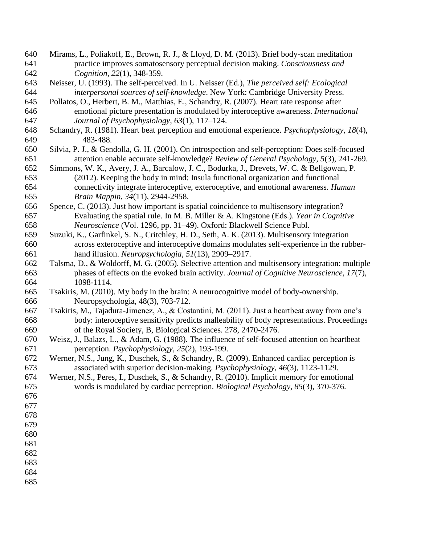- Mirams, L., Poliakoff, E., Brown, R. J., & Lloyd, D. M. (2013). Brief body-scan meditation practice improves somatosensory perceptual decision making. *Consciousness and Cognition, 22*(1), 348-359.
- Neisser, U. (1993). The self-perceived. In U. Neisser (Ed.), *The perceived self: Ecological interpersonal sources of self-knowledge*. New York: Cambridge University Press.
- Pollatos, O., Herbert, B. M., Matthias, E., Schandry, R. (2007). Heart rate response after emotional picture presentation is modulated by interoceptive awareness. *International Journal of Psychophysiology, 63*(1), 117–124.
- Schandry, R. (1981). Heart beat perception and emotional experience. *Psychophysiology, 18*(4), 483-488.
- Silvia, P. J., & Gendolla, G. H. (2001). On introspection and self-perception: Does self-focused attention enable accurate self-knowledge? *Review of General Psychology, 5*(3), 241-269.
- Simmons, W. K., Avery, J. A., Barcalow, J. C., Bodurka, J., Drevets, W. C. & Bellgowan, P. (2012). Keeping the body in mind: Insula functional organization and functional connectivity integrate interoceptive, exteroceptive, and emotional awareness. *Human Brain Mappin, 34*(11), 2944-2958.
- Spence, C. (2013). Just how important is spatial coincidence to multisensory integration? Evaluating the spatial rule. In M. B. Miller & A. Kingstone (Eds.). *Year in Cognitive Neuroscience* (Vol. 1296, pp. 31–49). Oxford: Blackwell Science Publ.
- Suzuki, K., Garfinkel, S. N., Critchley, H. D., Seth, A. K. (2013). Multisensory integration across exteroceptive and interoceptive domains modulates self-experience in the rubber-hand illusion. *Neuropsychologia*, *51*(13), 2909–2917.
- Talsma, D., & Woldorff, M. G. (2005). Selective attention and multisensory integration: multiple phases of effects on the evoked brain activity. *Journal of Cognitive Neuroscience, 17*(7), 1098-1114.
- Tsakiris, M. (2010). My body in the brain: A neurocognitive model of body-ownership. Neuropsychologia, 48(3), 703-712.
- Tsakiris, M., Tajadura-Jimenez, A., & Costantini, M. (2011). Just a heartbeat away from one's body: interoceptive sensitivity predicts malleability of body representations. Proceedings of the Royal Society, B, Biological Sciences. 278, 2470-2476.
- Weisz, J., Balazs, L., & Adam, G. (1988). The influence of self-focused attention on heartbeat perception. *Psychophysiology, 25*(2), 193-199.
- Werner, N.S., Jung, K., Duschek, S., & Schandry, R. (2009). Enhanced cardiac perception is associated with superior decision-making. *Psychophysiology*, *46*(3), 1123-1129.
- Werner, N.S., Peres, I., Duschek, S., & Schandry, R. (2010). Implicit memory for emotional words is modulated by cardiac perception. *Biological Psychology*, *85*(3), 370-376.
- 
- 
- 
- 
- 
- 
- 
- 
-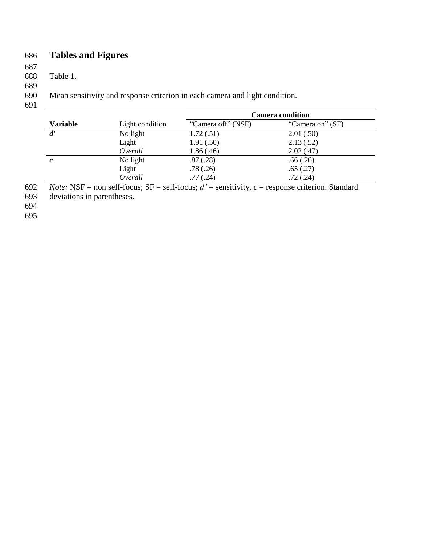# 686 **Tables and Figures**

687

Table 1. 689

690 Mean sensitivity and response criterion in each camera and light condition.

691

|          |                 | <b>Camera condition</b> |                  |  |
|----------|-----------------|-------------------------|------------------|--|
| Variable | Light condition | "Camera off" (NSF)      | "Camera on" (SF) |  |
|          | No light        | 1.72(.51)               | 2.01(.50)        |  |
|          | Light           | 1.91(.50)               | 2.13(.52)        |  |
|          | Overall         | 1.86(.46)               | 2.02(.47)        |  |
| с        | No light        | .87(.28)                | .66(.26)         |  |
|          | Light           | .78(.26)                | .65(.27)         |  |
|          | Overall         | .77(.24)                | .72(.24)         |  |

692 *Note:* NSF = non self-focus; SF = self-focus;  $d'$  = sensitivity,  $c$  = response criterion. Standard deviations in parentheses.

deviations in parentheses.

694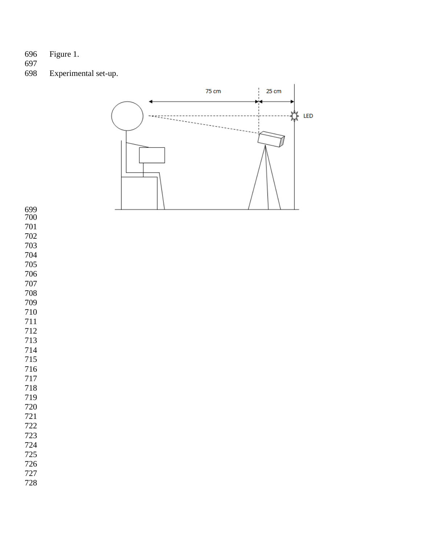- Figure 1.
- 697<br>698
- Experimental set-up.



- 
- 
- 
- 
- 

 

 

- 
- 
- 
-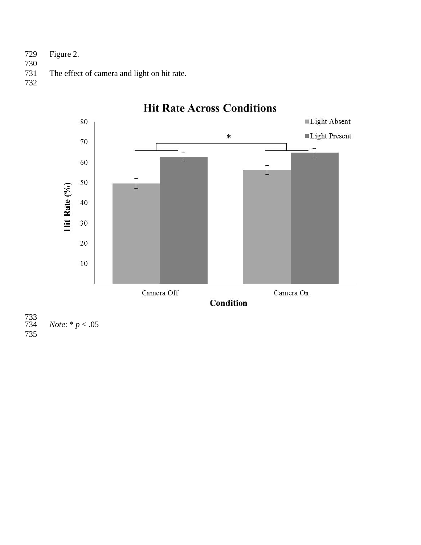- Figure 2.
- 
- The effect of camera and light on hit rate.
- 



 *Note*: \* *p* < .05